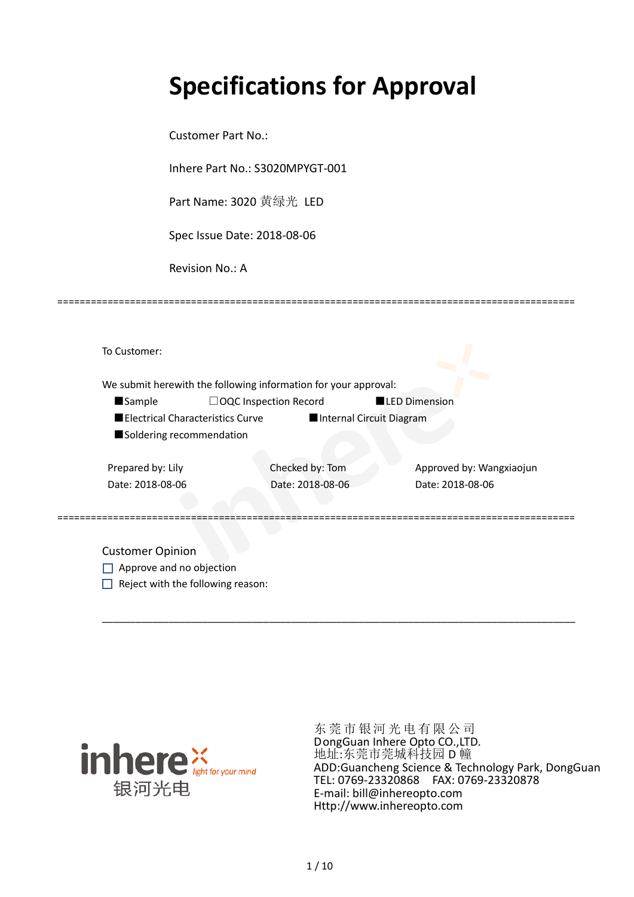# **Specifications for Approval**

Customer Part No.:

Inhere Part No.: S3020MPYGT-001

Part Name: 3020 黄绿光 LED

Spec Issue Date: 2018-08-06

Revision No.: A

|                          |                                  | We submit herewith the following information for your approval: |                          |                          |
|--------------------------|----------------------------------|-----------------------------------------------------------------|--------------------------|--------------------------|
| <b>Sample</b>            |                                  | $\Box$ OQC Inspection Record                                    |                          | <b>LED Dimension</b>     |
|                          | Electrical Characteristics Curve |                                                                 | Internal Circuit Diagram |                          |
| Soldering recommendation |                                  |                                                                 |                          |                          |
| Prepared by: Lily        |                                  | Checked by: Tom                                                 |                          | Approved by: Wangxiaojun |
| Date: 2018-08-06         |                                  | Date: 2018-08-06                                                |                          | Date: 2018-08-06         |
|                          |                                  |                                                                 |                          |                          |

\_\_\_\_\_\_\_\_\_\_\_\_\_\_\_\_\_\_\_\_\_\_\_\_\_\_\_\_\_\_\_\_\_\_\_\_\_\_\_\_\_\_\_\_\_\_\_\_\_\_\_\_\_\_\_\_\_\_\_\_\_\_\_\_\_\_\_\_\_\_\_\_\_\_\_\_\_\_\_\_\_\_\_\_\_

=============================================================================================

Approve and no objection  $\Box$  Reject with the following reason:



东莞市银河光电有限公司 DongGuan Inhere Opto CO.,LTD. 地址:东莞市莞城科技园 D 幢 ADD:Guancheng Science & Technology Park, DongGuan TEL: 0769-23320868 FAX: 0769-23320878 E-mail: bill@inhereopto.com [Http://www.inhereopto.com](http://www.inhereopto.com/)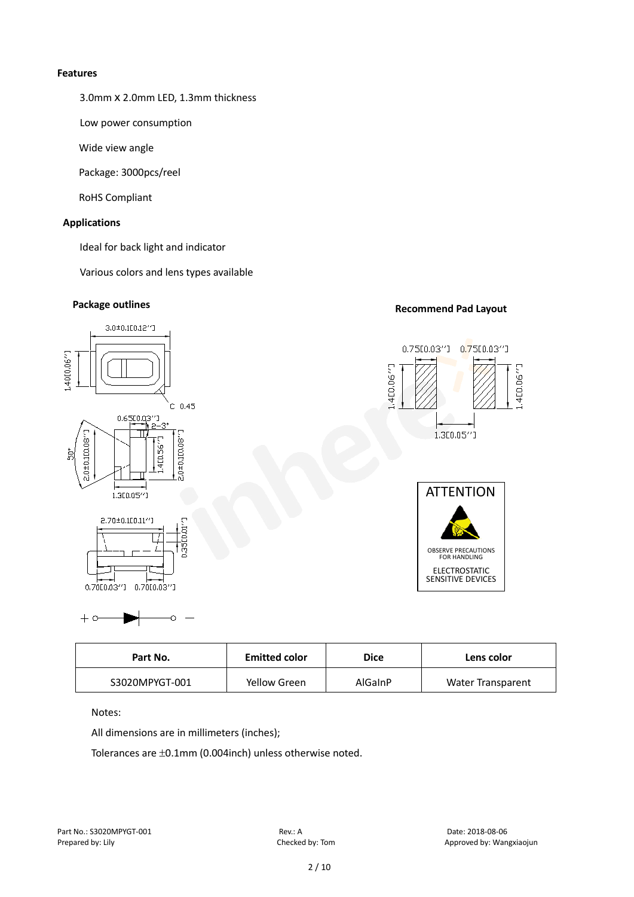#### **Features**

3.0mmⅹ2.0mm LED, 1.3mm thickness

Low power consumption

Wide view angle

Package: 3000pcs/reel

RoHS Compliant

#### **Applications**

Ideal for back light and indicator

Various colors and lens types available

# **Package outlines Recommend Pad Layout**



| <b>Emitted color</b><br>Part No. |              | <b>Dice</b> | Lens color               |  |
|----------------------------------|--------------|-------------|--------------------------|--|
| S3020MPYGT-001                   | Yellow Green | AlGaInP     | <b>Water Transparent</b> |  |

Notes:

 $+ c$ 

All dimensions are in millimeters (inches);

Č

Tolerances are ±0.1mm (0.004inch) unless otherwise noted.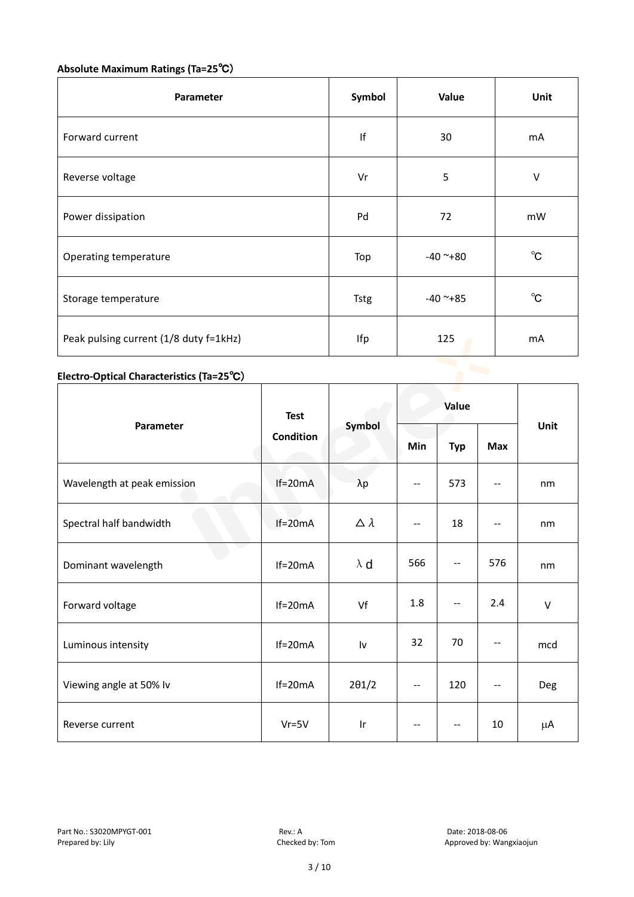## **Absolute Maximum Ratings (Ta=25**℃)

| Parameter                              | Symbol      | Value      | Unit         |
|----------------------------------------|-------------|------------|--------------|
| Forward current                        | If          | 30         | mA           |
| Reverse voltage                        | Vr          | 5          | V            |
| Power dissipation                      | Pd          | 72         | mW           |
| Operating temperature                  | Top         | $-40$ ~+80 | $^{\circ}$ C |
| Storage temperature                    | <b>Tstg</b> | $-40$ ~+85 | $^{\circ}$ C |
| Peak pulsing current (1/8 duty f=1kHz) | Ifp         | 125        | mA           |

# **Electro-Optical Characteristics (Ta=25**℃)

|                             | <b>Test</b>      | Symbol           | Value |                          |            | Unit   |
|-----------------------------|------------------|------------------|-------|--------------------------|------------|--------|
| Parameter                   | <b>Condition</b> |                  | Min   | <b>Typ</b>               | <b>Max</b> |        |
| Wavelength at peak emission | $If=20mA$        | $\lambda p$      | --    | 573                      |            | nm     |
| Spectral half bandwidth     | $If=20mA$        | $\Delta \lambda$ | --    | 18                       | --         | nm     |
| Dominant wavelength         | $If=20mA$        | $\lambda$ d      | 566   | --                       | 576        | nm     |
| Forward voltage             | $If=20mA$        | Vf               | 1.8   | $\overline{\phantom{m}}$ | 2.4        | $\vee$ |
| Luminous intensity          | $If=20mA$        | Iv               | 32    | 70                       |            | mcd    |
| Viewing angle at 50% lv     | $If=20mA$        | $2\theta$ 1/2    | $-$   | 120                      | $-$        | Deg    |
| Reverse current             | $Vr = 5V$        | Ir               | --    | --                       | 10         | μA     |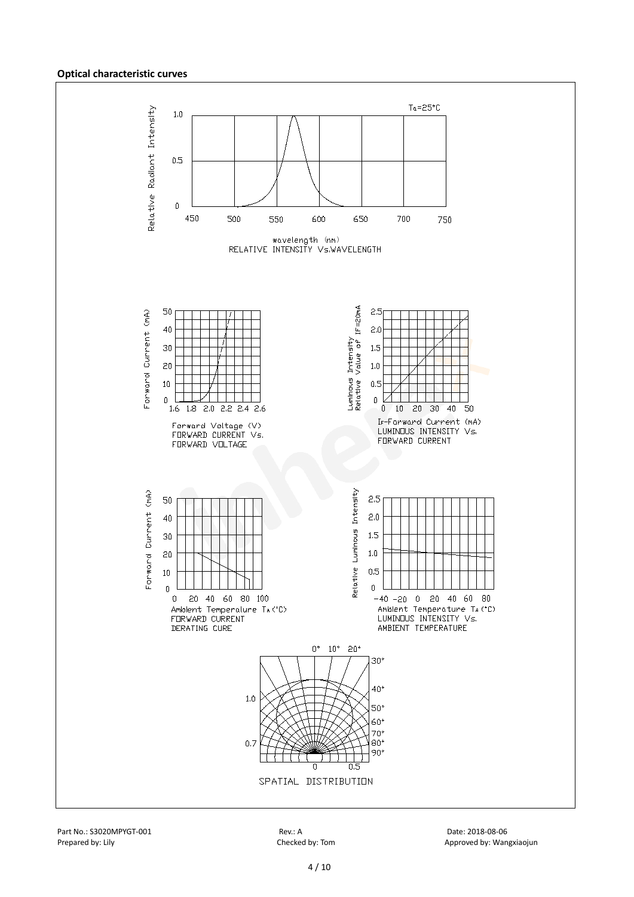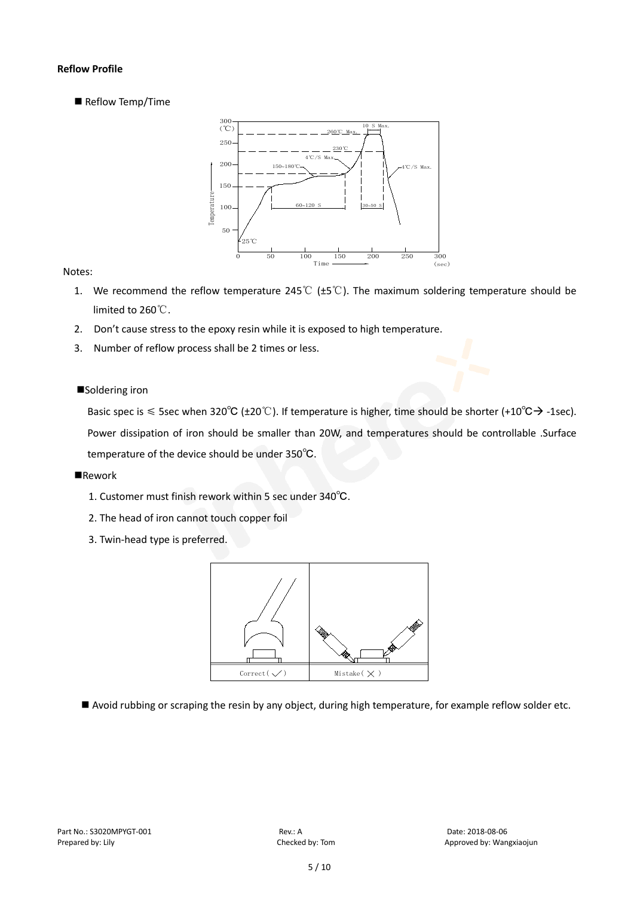#### **Reflow Profile**

Reflow Temp/Time



#### Notes:

- 1. We recommend the reflow temperature 245℃ (±5℃). The maximum soldering temperature should be limited to 260℃.
- 2. Don't cause stress to the epoxy resin while it is exposed to high temperature.
- 3. Number of reflow process shall be 2 times or less.

#### ■Soldering iron

Basic spec is  $\leq$  5sec when 320°C (±20°C). If temperature is higher, time should be shorter (+10°C $\rightarrow$ -1sec). Power dissipation of iron should be smaller than 20W, and temperatures should be controllable .Surface temperature of the device should be under 350℃.

#### **Rework**

- 1. Customer must finish rework within 5 sec under 340℃.
- 2. The head of iron cannot touch copper foil
- 3. Twin-head type is preferred.



Avoid rubbing or scraping the resin by any object, during high temperature, for example reflow solder etc.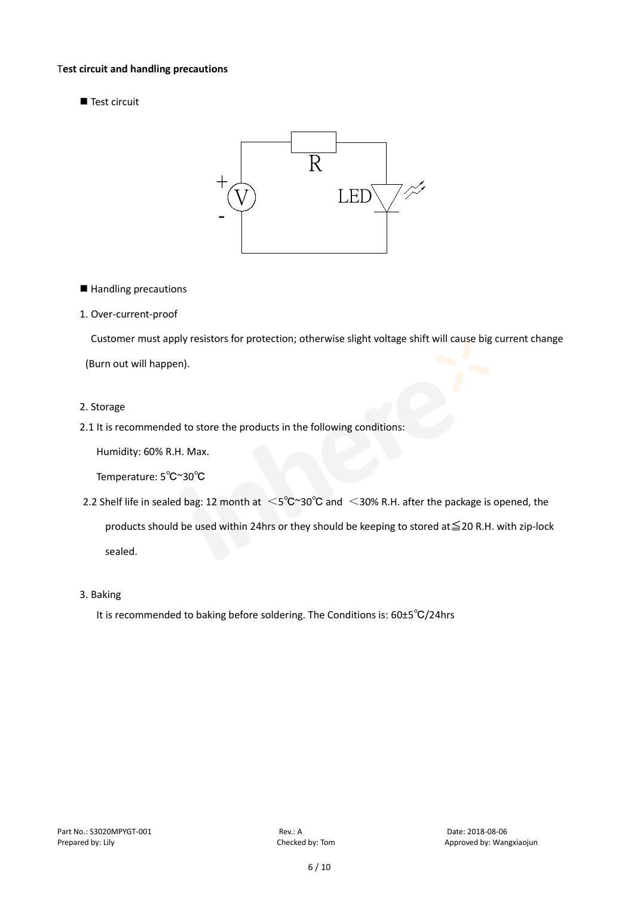#### T**est circuit and handling precautions**

Test circuit



■ Handling precautions

#### 1. Over-current-proof

Customer must apply resistors for protection; otherwise slight voltage shift will cause big current change

(Burn out will happen).

#### 2. Storage

2.1 It is recommended to store the products in the following conditions:

Humidity: 60% R.H. Max.

Temperature: 5℃~30℃

- 2.2 Shelf life in sealed bag: 12 month at <5℃~30°C and <30% R.H. after the package is opened, the products should be used within 24hrs or they should be keeping to stored at≦20 R.H. with zip-lock sealed.
- 3. Baking

It is recommended to baking before soldering. The Conditions is: 60±5℃/24hrs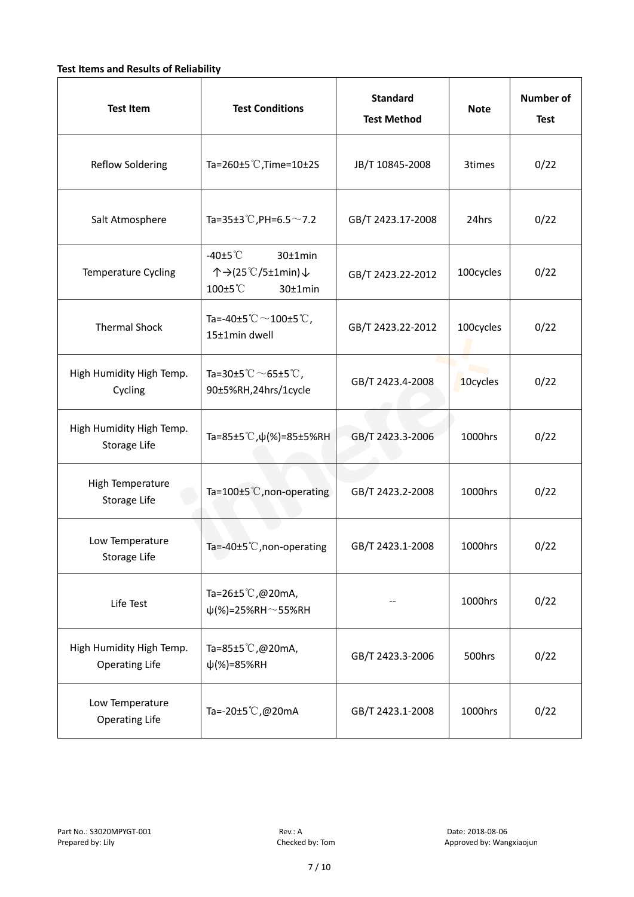#### **Test Items and Results of Reliability**

| <b>Test Item</b>                                  | <b>Standard</b><br><b>Test Conditions</b><br><b>Test Method</b>                |                                | <b>Note</b> | <b>Number of</b><br><b>Test</b> |
|---------------------------------------------------|--------------------------------------------------------------------------------|--------------------------------|-------------|---------------------------------|
| <b>Reflow Soldering</b>                           | Ta=260 $\pm$ 5 °C, Time=10 $\pm$ 2S<br>JB/T 10845-2008                         |                                | 3times      | 0/22                            |
| Salt Atmosphere                                   | Ta=35±3°C, PH=6.5 $\sim$ 7.2<br>GB/T 2423.17-2008                              |                                | 24hrs       | 0/22                            |
| Temperature Cycling                               | -40 $±5^{\circ}$ C<br>$30±1$ min<br>个→(25℃/5±1min)↓<br>100±5°C<br>$30±1$ min   | 100cycles<br>GB/T 2423.22-2012 |             | 0/22                            |
| <b>Thermal Shock</b>                              | Ta=-40±5 $\degree \text{C}$ $\sim$ 100±5 $\degree \text{C}$ ,<br>15±1min dwell | 100cycles<br>GB/T 2423.22-2012 |             | 0/22                            |
| High Humidity High Temp.<br>Cycling               | Ta=30±5 °C $\sim$ 65±5 °C,<br>90±5%RH,24hrs/1cycle                             | GB/T 2423.4-2008               |             | 0/22                            |
| High Humidity High Temp.<br>Storage Life          | Ta=85±5 °C, $\psi$ (%)=85±5%RH                                                 | GB/T 2423.3-2006               | 1000hrs     | 0/22                            |
| High Temperature<br><b>Storage Life</b>           | Ta=100±5°C, non-operating                                                      | GB/T 2423.2-2008               | 1000hrs     | 0/22                            |
| Low Temperature<br>Storage Life                   | Ta=-40±5℃, non-operating                                                       | GB/T 2423.1-2008               | 1000hrs     | 0/22                            |
| Life Test                                         | Ta=26±5℃,@20mA,<br>$\psi$ (%)=25%RH~55%RH                                      |                                |             | 0/22                            |
| High Humidity High Temp.<br><b>Operating Life</b> | Ta=85±5 $\degree$ C, @20mA,<br>$\psi$ (%)=85%RH                                | GB/T 2423.3-2006               | 500hrs      | 0/22                            |
| Low Temperature<br><b>Operating Life</b>          | Ta=-20±5℃,@20mA                                                                | GB/T 2423.1-2008               | 1000hrs     | 0/22                            |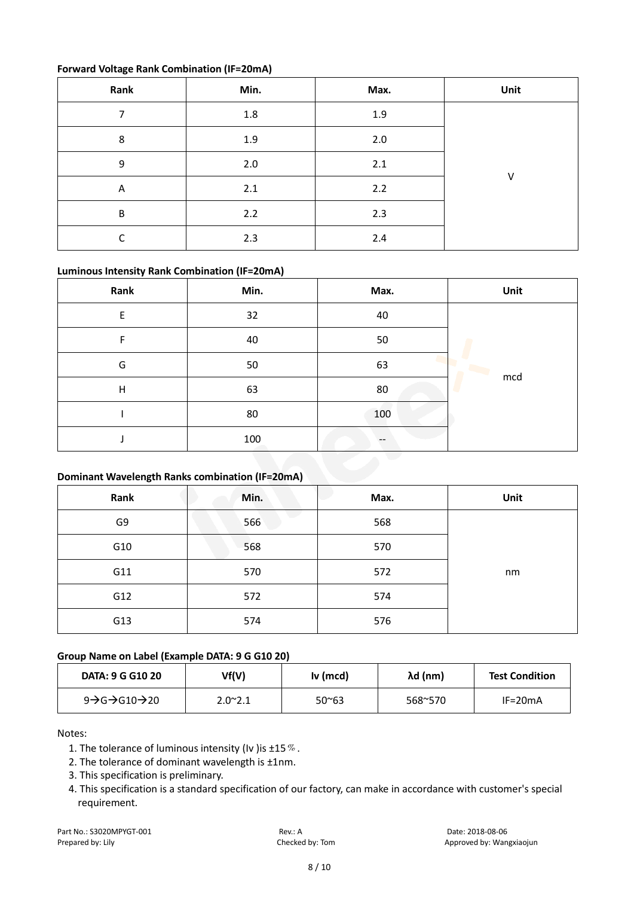#### **Forward Voltage Rank Combination (IF=20mA)**

| Rank                    | Min.    | Max. | Unit   |
|-------------------------|---------|------|--------|
|                         | $1.8\,$ | 1.9  |        |
| 8                       | 1.9     | 2.0  |        |
| 9                       | 2.0     | 2.1  | $\vee$ |
| $\overline{\mathsf{A}}$ | 2.1     | 2.2  |        |
| B                       | 2.2     | 2.3  |        |
| r                       | 2.3     | 2.4  |        |

#### **Luminous Intensity Rank Combination (IF=20mA)**

| Rank | Min. | Max. | Unit |
|------|------|------|------|
| E    | 32   | 40   |      |
| F    | 40   | 50   |      |
| G    | 50   | 63   |      |
| H    | 63   | 80   | mcd  |
|      | 80   | 100  |      |
|      | 100  |      |      |

#### **Dominant Wavelength Ranks combination (IF=20mA)**

| Rank | Min. | Max. | Unit |
|------|------|------|------|
| G9   | 566  | 568  |      |
| G10  | 568  | 570  |      |
| G11  | 570  | 572  | nm   |
| G12  | 572  | 574  |      |
| G13  | 574  | 576  |      |

### **Group Name on Label (Example DATA: 9 G G10 20)**

| <b>DATA: 9 G G10 20</b>                              | Vf(V)           | $Iv$ (mcd)     | $\lambda$ d (nm) | <b>Test Condition</b> |
|------------------------------------------------------|-----------------|----------------|------------------|-----------------------|
| 9 $\rightarrow$ G $\rightarrow$ G10 $\rightarrow$ 20 | $2.0^{\sim}2.1$ | $50^{\circ}63$ | 568~570          | $IF=20mA$             |

Notes:

- 1. The tolerance of luminous intensity (Iv ) is  $\pm 15\%$ .
- 2. The tolerance of dominant wavelength is ±1nm.
- 3. This specification is preliminary.
- 4. This specification is a standard specification of our factory, can make in accordance with customer's special requirement.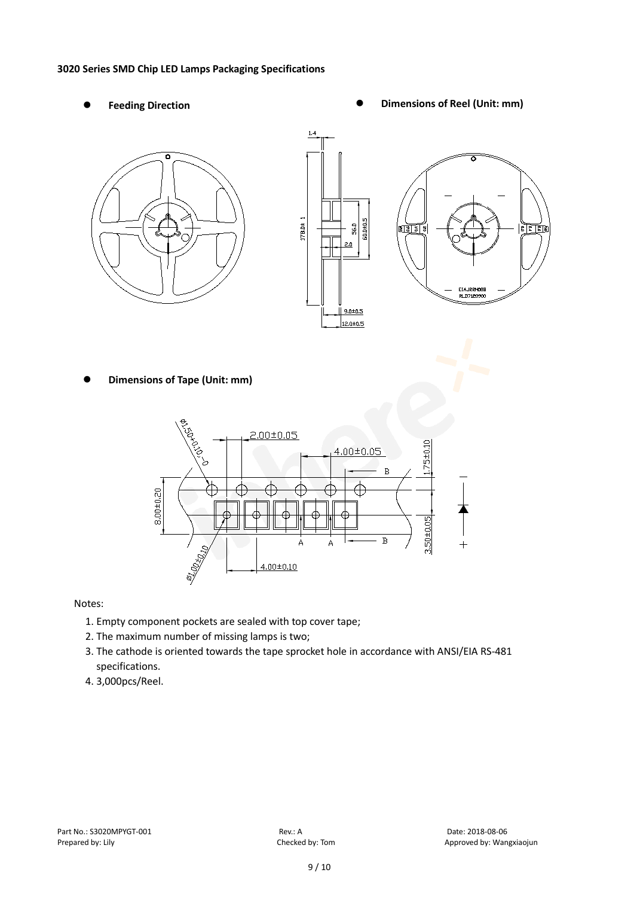#### **3020 Series SMD Chip LED Lamps Packaging Specifications**

- 
- Feeding Direction **Constanting Construction Constanting Operations Construction Constanting Construction Constanting Construction**





**Dimensions of Tape (Unit: mm)**



Notes:

- 1. Empty component pockets are sealed with top cover tape;
- 2. The maximum number of missing lamps is two;
- 3. The cathode is oriented towards the tape sprocket hole in accordance with ANSI/EIA RS-481 specifications.
- 4. 3,000pcs/Reel.